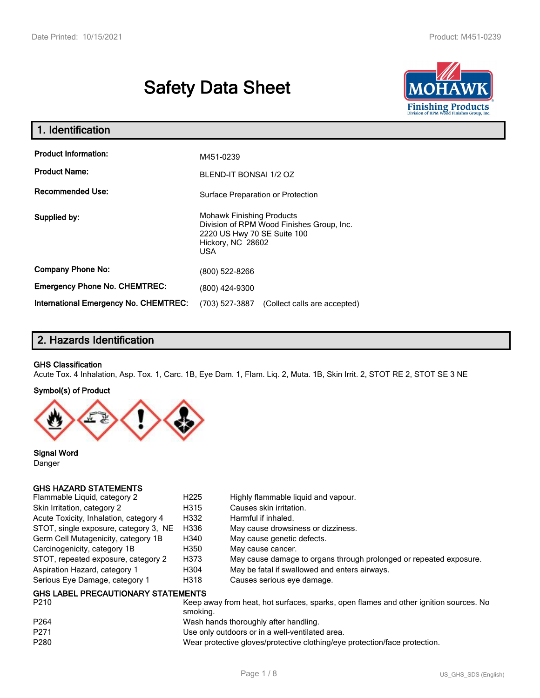# **Safety Data Sheet**



| 1. Identification                                   |                                                                                                                                                 |  |
|-----------------------------------------------------|-------------------------------------------------------------------------------------------------------------------------------------------------|--|
| <b>Product Information:</b><br><b>Product Name:</b> | M451-0239                                                                                                                                       |  |
|                                                     | BLEND-IT BONSAI 1/2 OZ                                                                                                                          |  |
| <b>Recommended Use:</b>                             | Surface Preparation or Protection                                                                                                               |  |
| Supplied by:                                        | <b>Mohawk Finishing Products</b><br>Division of RPM Wood Finishes Group, Inc.<br>2220 US Hwy 70 SE Suite 100<br>Hickory, NC 28602<br><b>USA</b> |  |
| <b>Company Phone No:</b>                            | (800) 522-8266                                                                                                                                  |  |
| <b>Emergency Phone No. CHEMTREC:</b>                | (800) 424-9300                                                                                                                                  |  |
| <b>International Emergency No. CHEMTREC:</b>        | (703) 527-3887<br>(Collect calls are accepted)                                                                                                  |  |

# **2. Hazards Identification**

#### **GHS Classification**

Acute Tox. 4 Inhalation, Asp. Tox. 1, Carc. 1B, Eye Dam. 1, Flam. Liq. 2, Muta. 1B, Skin Irrit. 2, STOT RE 2, STOT SE 3 NE

#### **Symbol(s) of Product**



**Signal Word** Danger

## **GHS HAZARD STATEMENTS**

| Flammable Liquid, category 2                      | H <sub>225</sub> | Highly flammable liquid and vapour.                                |
|---------------------------------------------------|------------------|--------------------------------------------------------------------|
| Skin Irritation, category 2                       | H315             | Causes skin irritation.                                            |
| Acute Toxicity, Inhalation, category 4            | H332             | Harmful if inhaled.                                                |
| STOT, single exposure, category 3, NE             | H336             | May cause drowsiness or dizziness.                                 |
| Germ Cell Mutagenicity, category 1B               | H340             | May cause genetic defects.                                         |
| Carcinogenicity, category 1B                      | H350             | May cause cancer.                                                  |
| STOT, repeated exposure, category 2               | H373             | May cause damage to organs through prolonged or repeated exposure. |
| Aspiration Hazard, category 1                     | H304             | May be fatal if swallowed and enters airways.                      |
| Serious Eye Damage, category 1                    | H318             | Causes serious eye damage.                                         |
| <b>GHS LABEL PRECAUTIONARY STATEMENTS</b><br>---- |                  |                                                                    |

| P210             | Keep away from heat, hot surfaces, sparks, open flames and other ignition sources. No<br>smoking. |
|------------------|---------------------------------------------------------------------------------------------------|
|                  |                                                                                                   |
| P <sub>264</sub> | Wash hands thoroughly after handling.                                                             |
| P <sub>271</sub> | Use only outdoors or in a well-ventilated area.                                                   |
| P280             | Wear protective gloves/protective clothing/eye protection/face protection.                        |
|                  |                                                                                                   |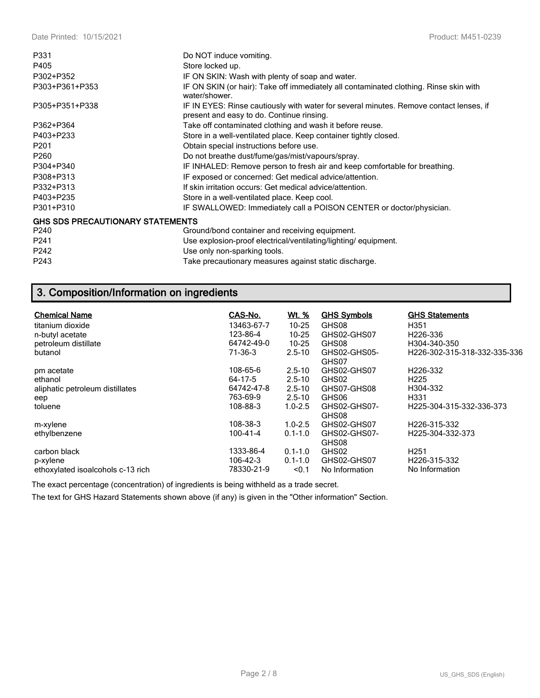| P331                                    | Do NOT induce vomiting.                                                                                                             |
|-----------------------------------------|-------------------------------------------------------------------------------------------------------------------------------------|
| P405                                    | Store locked up.                                                                                                                    |
| P302+P352                               | IF ON SKIN: Wash with plenty of soap and water.                                                                                     |
| P303+P361+P353                          | IF ON SKIN (or hair): Take off immediately all contaminated clothing. Rinse skin with<br>water/shower.                              |
| P305+P351+P338                          | IF IN EYES: Rinse cautiously with water for several minutes. Remove contact lenses, if<br>present and easy to do. Continue rinsing. |
| P362+P364                               | Take off contaminated clothing and wash it before reuse.                                                                            |
| P403+P233                               | Store in a well-ventilated place. Keep container tightly closed.                                                                    |
| P <sub>201</sub>                        | Obtain special instructions before use.                                                                                             |
| P260                                    | Do not breathe dust/fume/gas/mist/vapours/spray.                                                                                    |
| P304+P340                               | IF INHALED: Remove person to fresh air and keep comfortable for breathing.                                                          |
| P308+P313                               | IF exposed or concerned: Get medical advice/attention.                                                                              |
| P332+P313                               | If skin irritation occurs: Get medical advice/attention.                                                                            |
| P403+P235                               | Store in a well-ventilated place. Keep cool.                                                                                        |
| P301+P310                               | IF SWALLOWED: Immediately call a POISON CENTER or doctor/physician.                                                                 |
| <b>GHS SDS PRECAUTIONARY STATEMENTS</b> |                                                                                                                                     |
| P240                                    | Ground/bond container and receiving equipment.                                                                                      |
| P241                                    | Use explosion-proof electrical/ventilating/lighting/equipment.                                                                      |
| P242                                    | Use only non-sparking tools.                                                                                                        |
| P243                                    | Take precautionary measures against static discharge.                                                                               |

# **3. Composition/Information on ingredients**

| <b>Chemical Name</b>              | CAS-No.        | <u>Wt. %</u> | <b>GHS Symbols</b>    | <b>GHS Statements</b>        |
|-----------------------------------|----------------|--------------|-----------------------|------------------------------|
| titanium dioxide                  | 13463-67-7     | $10 - 25$    | GHS08                 | H351                         |
| n-butyl acetate                   | 123-86-4       | $10 - 25$    | GHS02-GHS07           | H <sub>226</sub> -336        |
| petroleum distillate              | 64742-49-0     | $10 - 25$    | GHS08                 | H304-340-350                 |
| butanol                           | 71-36-3        | $2.5 - 10$   | GHS02-GHS05-<br>GHS07 | H226-302-315-318-332-335-336 |
| pm acetate                        | 108-65-6       | $2.5 - 10$   | GHS02-GHS07           | H226-332                     |
| ethanol                           | 64-17-5        | $2.5 - 10$   | GHS02                 | H <sub>225</sub>             |
| aliphatic petroleum distillates   | 64742-47-8     | $2.5 - 10$   | GHS07-GHS08           | H304-332                     |
| eep                               | 763-69-9       | $2.5 - 10$   | GHS06                 | H331                         |
| toluene                           | 108-88-3       | $1.0 - 2.5$  | GHS02-GHS07-<br>GHS08 | H225-304-315-332-336-373     |
| m-xylene                          | 108-38-3       | $1.0 - 2.5$  | GHS02-GHS07           | H226-315-332                 |
| ethylbenzene                      | $100 - 41 - 4$ | $0.1 - 1.0$  | GHS02-GHS07-<br>GHS08 | H225-304-332-373             |
| carbon black                      | 1333-86-4      | $0.1 - 1.0$  | GHS02                 | H <sub>251</sub>             |
| p-xylene                          | 106-42-3       | $0.1 - 1.0$  | GHS02-GHS07           | H226-315-332                 |
| ethoxylated isoalcohols c-13 rich | 78330-21-9     | < 0.1        | No Information        | No Information               |

The exact percentage (concentration) of ingredients is being withheld as a trade secret.

The text for GHS Hazard Statements shown above (if any) is given in the "Other information" Section.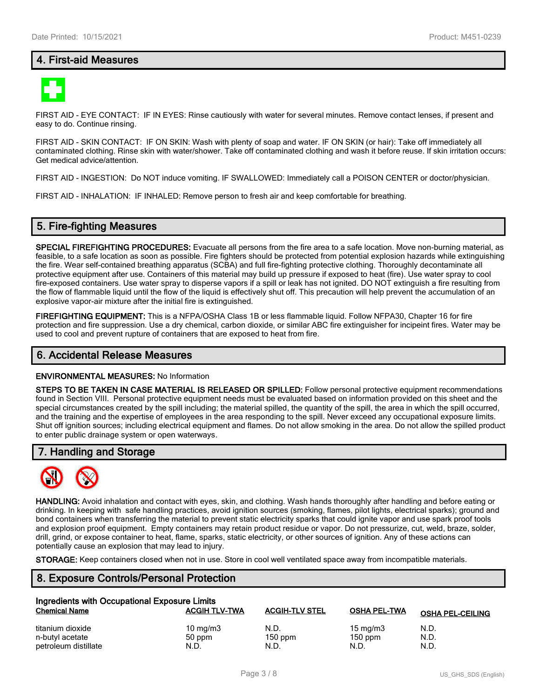## **4. First-aid Measures**



FIRST AID - EYE CONTACT: IF IN EYES: Rinse cautiously with water for several minutes. Remove contact lenses, if present and easy to do. Continue rinsing.

FIRST AID - SKIN CONTACT: IF ON SKIN: Wash with plenty of soap and water. IF ON SKIN (or hair): Take off immediately all contaminated clothing. Rinse skin with water/shower. Take off contaminated clothing and wash it before reuse. If skin irritation occurs: Get medical advice/attention.

FIRST AID - INGESTION: Do NOT induce vomiting. IF SWALLOWED: Immediately call a POISON CENTER or doctor/physician.

FIRST AID - INHALATION: IF INHALED: Remove person to fresh air and keep comfortable for breathing.

## **5. Fire-fighting Measures**

**SPECIAL FIREFIGHTING PROCEDURES:** Evacuate all persons from the fire area to a safe location. Move non-burning material, as feasible, to a safe location as soon as possible. Fire fighters should be protected from potential explosion hazards while extinguishing the fire. Wear self-contained breathing apparatus (SCBA) and full fire-fighting protective clothing. Thoroughly decontaminate all protective equipment after use. Containers of this material may build up pressure if exposed to heat (fire). Use water spray to cool fire-exposed containers. Use water spray to disperse vapors if a spill or leak has not ignited. DO NOT extinguish a fire resulting from the flow of flammable liquid until the flow of the liquid is effectively shut off. This precaution will help prevent the accumulation of an explosive vapor-air mixture after the initial fire is extinguished.

**FIREFIGHTING EQUIPMENT:** This is a NFPA/OSHA Class 1B or less flammable liquid. Follow NFPA30, Chapter 16 for fire protection and fire suppression. Use a dry chemical, carbon dioxide, or similar ABC fire extinguisher for incipeint fires. Water may be used to cool and prevent rupture of containers that are exposed to heat from fire.

#### **6. Accidental Release Measures**

#### **ENVIRONMENTAL MEASURES:** No Information

**STEPS TO BE TAKEN IN CASE MATERIAL IS RELEASED OR SPILLED:** Follow personal protective equipment recommendations found in Section VIII. Personal protective equipment needs must be evaluated based on information provided on this sheet and the special circumstances created by the spill including; the material spilled, the quantity of the spill, the area in which the spill occurred, and the training and the expertise of employees in the area responding to the spill. Never exceed any occupational exposure limits. Shut off ignition sources; including electrical equipment and flames. Do not allow smoking in the area. Do not allow the spilled product to enter public drainage system or open waterways.

## **7. Handling and Storage**



**HANDLING:** Avoid inhalation and contact with eyes, skin, and clothing. Wash hands thoroughly after handling and before eating or drinking. In keeping with safe handling practices, avoid ignition sources (smoking, flames, pilot lights, electrical sparks); ground and bond containers when transferring the material to prevent static electricity sparks that could ignite vapor and use spark proof tools and explosion proof equipment. Empty containers may retain product residue or vapor. Do not pressurize, cut, weld, braze, solder, drill, grind, or expose container to heat, flame, sparks, static electricity, or other sources of ignition. Any of these actions can potentially cause an explosion that may lead to injury.

**STORAGE:** Keep containers closed when not in use. Store in cool well ventilated space away from incompatible materials.

## **8. Exposure Controls/Personal Protection**

| Ingredients with Occupational Exposure Limits |                      |                       |                     |                         |  |
|-----------------------------------------------|----------------------|-----------------------|---------------------|-------------------------|--|
| <b>Chemical Name</b>                          | <b>ACGIH TLV-TWA</b> | <b>ACGIH-TLV STEL</b> | <b>OSHA PEL-TWA</b> | <b>OSHA PEL-CEILING</b> |  |
| titanium dioxide                              | $10 \text{ mg/m}$    | N.D.                  | $15 \text{ mg/m}$   | N.D.                    |  |
| n-butyl acetate                               | 50 ppm               | $150$ ppm             | $150$ ppm           | N.D.                    |  |
| petroleum distillate                          | N.D.                 | N.D.                  | N.D.                | N.D.                    |  |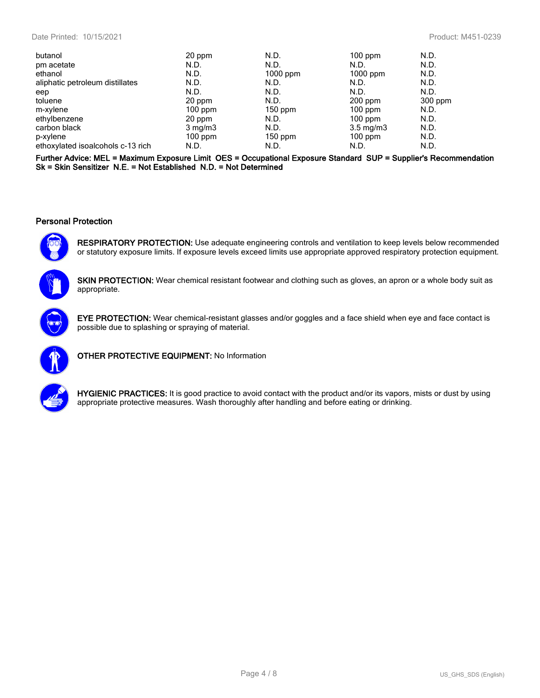|                  | N.D.             | $100$ ppm  | N.D.                                       |
|------------------|------------------|------------|--------------------------------------------|
| N.D.             | N.D.             | N.D.       | N.D.                                       |
| N.D.             |                  | $1000$ ppm | N.D.                                       |
| N.D.             | N.D.             | N.D.       | N.D.                                       |
| N.D.             | N.D.             | N.D.       | N.D.                                       |
| 20 ppm           | N.D.             |            | 300 ppm                                    |
| $100$ ppm        | $150$ ppm        |            | N.D.                                       |
|                  | N.D.             | $100$ ppm  | N.D.                                       |
| $3 \text{ mg/m}$ | N.D.             |            | N.D.                                       |
| $100$ ppm        | $150$ ppm        | $100$ ppm  | N.D.                                       |
| N.D.             | N.D.             | N.D.       | N.D.                                       |
|                  | 20 ppm<br>20 ppm | $1000$ ppm | 200 ppm<br>$100$ ppm<br>$3.5 \text{ mg/m}$ |

**Further Advice: MEL = Maximum Exposure Limit OES = Occupational Exposure Standard SUP = Supplier's Recommendation Sk = Skin Sensitizer N.E. = Not Established N.D. = Not Determined**

### **Personal Protection**



**RESPIRATORY PROTECTION:** Use adequate engineering controls and ventilation to keep levels below recommended or statutory exposure limits. If exposure levels exceed limits use appropriate approved respiratory protection equipment.

**SKIN PROTECTION:** Wear chemical resistant footwear and clothing such as gloves, an apron or a whole body suit as appropriate.



**EYE PROTECTION:** Wear chemical-resistant glasses and/or goggles and a face shield when eye and face contact is possible due to splashing or spraying of material.



**OTHER PROTECTIVE EQUIPMENT:** No Information



**HYGIENIC PRACTICES:** It is good practice to avoid contact with the product and/or its vapors, mists or dust by using appropriate protective measures. Wash thoroughly after handling and before eating or drinking.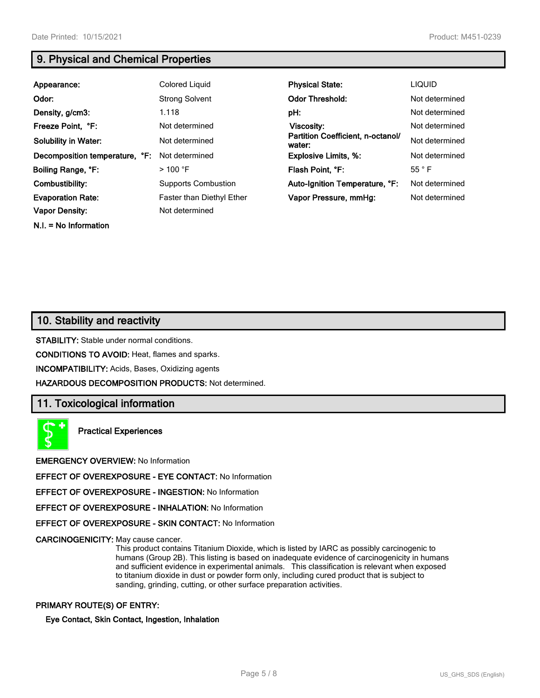**N.I. = No Information**

# **9. Physical and Chemical Properties**

| Appearance:                    | Colored Liquid                   | <b>Physical State:</b>                      | <b>LIQUID</b>  |
|--------------------------------|----------------------------------|---------------------------------------------|----------------|
| Odor:                          | <b>Strong Solvent</b>            | <b>Odor Threshold:</b>                      | Not determined |
| Density, g/cm3:                | 1.118                            | pH:                                         | Not determined |
| Freeze Point, °F:              | Not determined                   | Viscosity:                                  | Not determined |
| <b>Solubility in Water:</b>    | Not determined                   | Partition Coefficient, n-octanol/<br>water: | Not determined |
| Decomposition temperature, °F: | Not determined                   | <b>Explosive Limits, %:</b>                 | Not determined |
| Boiling Range, °F:             | $>$ 100 °F                       | Flash Point, °F:                            | $55^{\circ}$ F |
| Combustibility:                | <b>Supports Combustion</b>       | Auto-Ignition Temperature, °F:              | Not determined |
| <b>Evaporation Rate:</b>       | <b>Faster than Diethyl Ether</b> | Vapor Pressure, mmHg:                       | Not determined |
| <b>Vapor Density:</b>          | Not determined                   |                                             |                |

# **10. Stability and reactivity**

**STABILITY:** Stable under normal conditions.

**CONDITIONS TO AVOID:** Heat, flames and sparks.

**INCOMPATIBILITY:** Acids, Bases, Oxidizing agents

**HAZARDOUS DECOMPOSITION PRODUCTS:** Not determined.

## **11. Toxicological information**

**Practical Experiences**

**EMERGENCY OVERVIEW:** No Information

**EFFECT OF OVEREXPOSURE - EYE CONTACT:** No Information

**EFFECT OF OVEREXPOSURE - INGESTION:** No Information

**EFFECT OF OVEREXPOSURE - INHALATION:** No Information

**EFFECT OF OVEREXPOSURE - SKIN CONTACT:** No Information

**CARCINOGENICITY:** May cause cancer.

This product contains Titanium Dioxide, which is listed by IARC as possibly carcinogenic to humans (Group 2B). This listing is based on inadequate evidence of carcinogenicity in humans and sufficient evidence in experimental animals. This classification is relevant when exposed to titanium dioxide in dust or powder form only, including cured product that is subject to sanding, grinding, cutting, or other surface preparation activities.

#### **PRIMARY ROUTE(S) OF ENTRY:**

**Eye Contact, Skin Contact, Ingestion, Inhalation**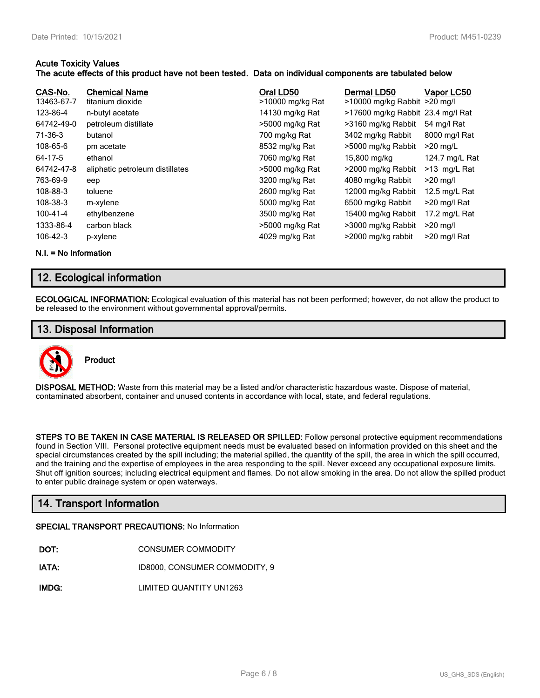### **Acute Toxicity Values**

### **The acute effects of this product have not been tested. Data on individual components are tabulated below**

| CAS-No.<br>13463-67-7 | <b>Chemical Name</b><br>titanium dioxide | Oral LD50<br>>10000 mg/kg Rat | Dermal LD50<br>>10000 mg/kg Rabbit >20 mg/l | Vapor LC50     |
|-----------------------|------------------------------------------|-------------------------------|---------------------------------------------|----------------|
| 123-86-4              | n-butyl acetate                          | 14130 mg/kg Rat               | >17600 mg/kg Rabbit 23.4 mg/l Rat           |                |
| 64742-49-0            | petroleum distillate                     | >5000 mg/kg Rat               | >3160 mg/kg Rabbit                          | 54 mg/l Rat    |
| 71-36-3               | butanol                                  | 700 mg/kg Rat                 | 3402 mg/kg Rabbit                           | 8000 mg/l Rat  |
| 108-65-6              | pm acetate                               | 8532 mg/kg Rat                | >5000 mg/kg Rabbit                          | $>20$ mg/L     |
| 64-17-5               | ethanol                                  | 7060 mg/kg Rat                | 15,800 mg/kg                                | 124.7 mg/L Rat |
| 64742-47-8            | aliphatic petroleum distillates          | >5000 mg/kg Rat               | >2000 mg/kg Rabbit                          | >13 mg/L Rat   |
| 763-69-9              | eep                                      | 3200 mg/kg Rat                | 4080 mg/kg Rabbit                           | $>20$ mg/l     |
| 108-88-3              | toluene                                  | 2600 mg/kg Rat                | 12000 mg/kg Rabbit                          | 12.5 mg/L Rat  |
| 108-38-3              | m-xylene                                 | 5000 mg/kg Rat                | 6500 mg/kg Rabbit                           | >20 mg/l Rat   |
| 100-41-4              | ethylbenzene                             | 3500 mg/kg Rat                | 15400 mg/kg Rabbit                          | 17.2 mg/L Rat  |
| 1333-86-4             | carbon black                             | >5000 mg/kg Rat               | >3000 mg/kg Rabbit                          | $>20$ mg/l     |
| $106 - 42 - 3$        | p-xylene                                 | 4029 mg/kg Rat                | >2000 mg/kg rabbit                          | >20 mg/l Rat   |

**N.I. = No Information**

# **12. Ecological information**

**ECOLOGICAL INFORMATION:** Ecological evaluation of this material has not been performed; however, do not allow the product to be released to the environment without governmental approval/permits.

## **13. Disposal Information**



**Product**

**DISPOSAL METHOD:** Waste from this material may be a listed and/or characteristic hazardous waste. Dispose of material, contaminated absorbent, container and unused contents in accordance with local, state, and federal regulations.

**STEPS TO BE TAKEN IN CASE MATERIAL IS RELEASED OR SPILLED:** Follow personal protective equipment recommendations found in Section VIII. Personal protective equipment needs must be evaluated based on information provided on this sheet and the special circumstances created by the spill including; the material spilled, the quantity of the spill, the area in which the spill occurred, and the training and the expertise of employees in the area responding to the spill. Never exceed any occupational exposure limits. Shut off ignition sources; including electrical equipment and flames. Do not allow smoking in the area. Do not allow the spilled product to enter public drainage system or open waterways.

# **14. Transport Information**

#### **SPECIAL TRANSPORT PRECAUTIONS:** No Information

- **IATA:** ID8000, CONSUMER COMMODITY, 9
- **IMDG:** LIMITED QUANTITY UN1263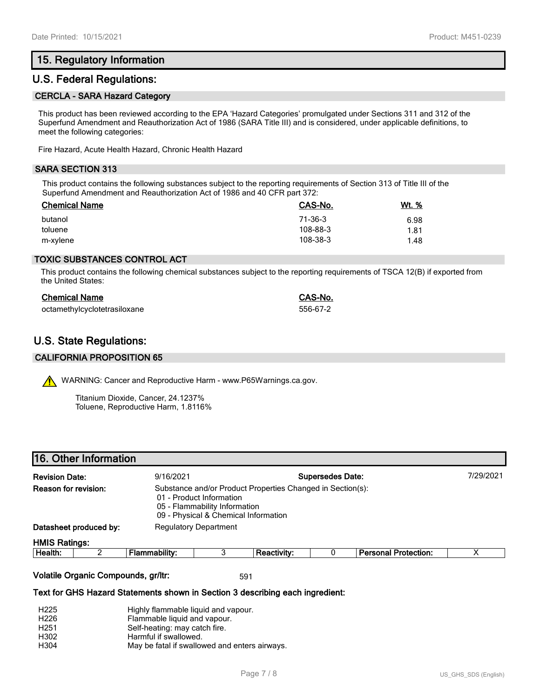## **15. Regulatory Information**

## **U.S. Federal Regulations:**

#### **CERCLA - SARA Hazard Category**

This product has been reviewed according to the EPA 'Hazard Categories' promulgated under Sections 311 and 312 of the Superfund Amendment and Reauthorization Act of 1986 (SARA Title III) and is considered, under applicable definitions, to meet the following categories:

Fire Hazard, Acute Health Hazard, Chronic Health Hazard

### **SARA SECTION 313**

This product contains the following substances subject to the reporting requirements of Section 313 of Title III of the Superfund Amendment and Reauthorization Act of 1986 and 40 CFR part 372:

| <b>Chemical Name</b> | CAS-No.  | <u>Wt. %</u> |
|----------------------|----------|--------------|
| butanol              | 71-36-3  | 6.98         |
| toluene              | 108-88-3 | 1.81         |
| m-xylene             | 108-38-3 | 1.48         |

#### **TOXIC SUBSTANCES CONTROL ACT**

This product contains the following chemical substances subject to the reporting requirements of TSCA 12(B) if exported from the United States:

| <b>Chemical Name</b>         | CAS-No.  |
|------------------------------|----------|
| octamethylcyclotetrasiloxane | 556-67-2 |

## **U.S. State Regulations:**

#### **CALIFORNIA PROPOSITION 65**

WARNING: Cancer and Reproductive Harm - www.P65Warnings.ca.gov.

Titanium Dioxide, Cancer, 24.1237% Toluene, Reproductive Harm, 1.8116%

| <b>Revision Date:</b>  |  | <b>Supersedes Date:</b><br>9/16/2021                                                                                                                            |  |                    |  |                             | 7/29/2021 |  |
|------------------------|--|-----------------------------------------------------------------------------------------------------------------------------------------------------------------|--|--------------------|--|-----------------------------|-----------|--|
| Reason for revision:   |  | Substance and/or Product Properties Changed in Section(s):<br>01 - Product Information<br>05 - Flammability Information<br>09 - Physical & Chemical Information |  |                    |  |                             |           |  |
| Datasheet produced by: |  | <b>Regulatory Department</b>                                                                                                                                    |  |                    |  |                             |           |  |
| <b>HMIS Ratings:</b>   |  |                                                                                                                                                                 |  |                    |  |                             |           |  |
| Health:                |  | <b>Flammability:</b>                                                                                                                                            |  | <b>Reactivity:</b> |  | <b>Personal Protection:</b> |           |  |
|                        |  |                                                                                                                                                                 |  |                    |  |                             |           |  |

#### **Volatile Organic Compounds, gr/ltr:** 591

#### **Text for GHS Hazard Statements shown in Section 3 describing each ingredient:**

| H <sub>225</sub> | Highly flammable liquid and vapour.           |
|------------------|-----------------------------------------------|
| H <sub>226</sub> | Flammable liquid and vapour.                  |
| H <sub>251</sub> | Self-heating: may catch fire.                 |
| H <sub>302</sub> | Harmful if swallowed.                         |
| H304             | May be fatal if swallowed and enters airways. |